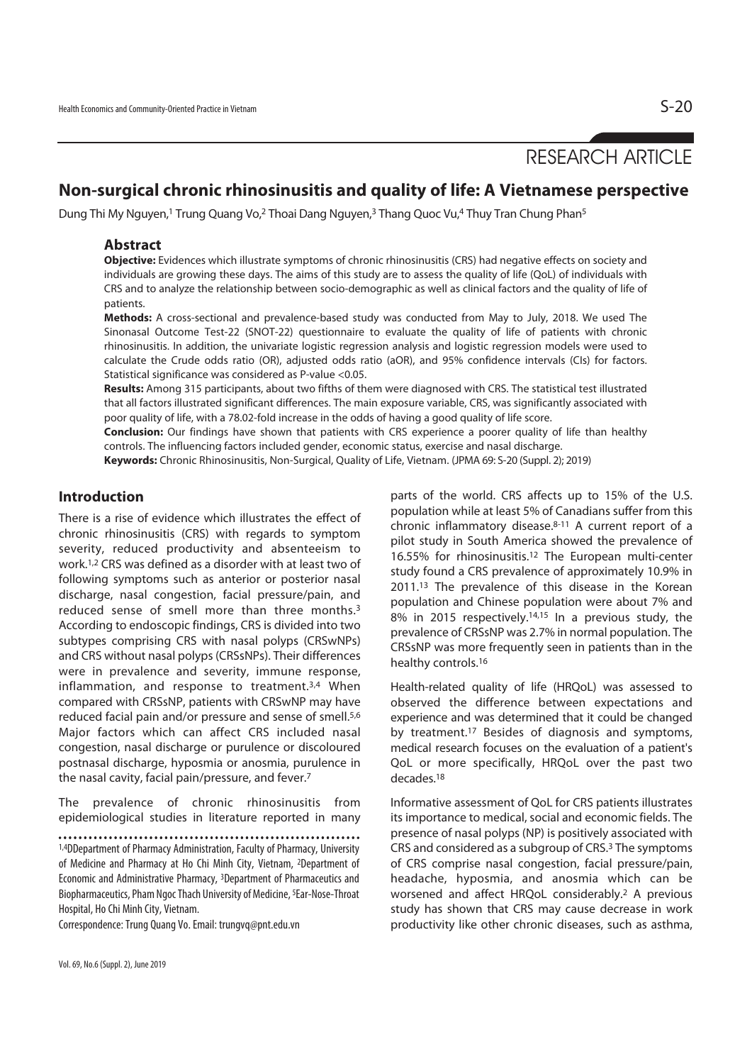# RESEARCH ARTICLE

# **Non-surgical chronic rhinosinusitis and quality of life: A Vietnamese perspective**

Dung Thi My Nguyen,<sup>1</sup> Trung Quang Vo,<sup>2</sup> Thoai Dang Nguyen,<sup>3</sup> Thang Quoc Vu,<sup>4</sup> Thuy Tran Chung Phan<sup>5</sup>

#### **Abstract**

**Objective:** Evidences which illustrate symptoms of chronic rhinosinusitis (CRS) had negative effects on society and individuals are growing these days. The aims of this study are to assess the quality of life (QoL) of individuals with CRS and to analyze the relationship between socio-demographic as well as clinical factors and the quality of life of patients.

**Methods:** A cross-sectional and prevalence-based study was conducted from May to July, 2018. We used The Sinonasal Outcome Test-22 (SNOT-22) questionnaire to evaluate the quality of life of patients with chronic rhinosinusitis. In addition, the univariate logistic regression analysis and logistic regression models were used to calculate the Crude odds ratio (OR), adjusted odds ratio (aOR), and 95% confidence intervals (CIs) for factors. Statistical significance was considered as P-value <0.05.

**Results:** Among 315 participants, about two fifths of them were diagnosed with CRS. The statistical test illustrated that all factors illustrated significant differences. The main exposure variable, CRS, was significantly associated with poor quality of life, with a 78.02-fold increase in the odds of having a good quality of life score.

**Conclusion:** Our findings have shown that patients with CRS experience a poorer quality of life than healthy controls. The influencing factors included gender, economic status, exercise and nasal discharge.

**Keywords:** Chronic Rhinosinusitis, Non-Surgical, Quality of Life, Vietnam. (JPMA 69: S-20 (Suppl. 2); 2019)

### **Introduction**

There is a rise of evidence which illustrates the effect of chronic rhinosinusitis (CRS) with regards to symptom severity, reduced productivity and absenteeism to work.1,2 CRS was defined as a disorder with at least two of following symptoms such as anterior or posterior nasal discharge, nasal congestion, facial pressure/pain, and reduced sense of smell more than three months.3 According to endoscopic findings, CRS is divided into two subtypes comprising CRS with nasal polyps (CRSwNPs) and CRS without nasal polyps (CRSsNPs). Their differences were in prevalence and severity, immune response, inflammation, and response to treatment.3,4 When compared with CRSsNP, patients with CRSwNP may have reduced facial pain and/or pressure and sense of smell.5,6 Major factors which can affect CRS included nasal congestion, nasal discharge or purulence or discoloured postnasal discharge, hyposmia or anosmia, purulence in the nasal cavity, facial pain/pressure, and fever.7

The prevalence of chronic rhinosinusitis from epidemiological studies in literature reported in many

Correspondence: Trung Quang Vo. Email: trungvq@pnt.edu.vn

parts of the world. CRS affects up to 15% of the U.S. population while at least 5% of Canadians suffer from this chronic inflammatory disease.8-11 A current report of a pilot study in South America showed the prevalence of 16.55% for rhinosinusitis.12 The European multi-center study found a CRS prevalence of approximately 10.9% in 2011.13 The prevalence of this disease in the Korean population and Chinese population were about 7% and 8% in 2015 respectively.14,15 In a previous study, the prevalence of CRSsNP was 2.7% in normal population. The CRSsNP was more frequently seen in patients than in the healthy controls.16

Health-related quality of life (HRQoL) was assessed to observed the difference between expectations and experience and was determined that it could be changed by treatment.17 Besides of diagnosis and symptoms, medical research focuses on the evaluation of a patient's QoL or more specifically, HRQoL over the past two decades.18

Informative assessment of QoL for CRS patients illustrates its importance to medical, social and economic fields. The presence of nasal polyps (NP) is positively associated with CRS and considered as a subgroup of CRS.3 The symptoms of CRS comprise nasal congestion, facial pressure/pain, headache, hyposmia, and anosmia which can be worsened and affect HRQoL considerably.2 A previous study has shown that CRS may cause decrease in work productivity like other chronic diseases, such as asthma,

<sup>1,4</sup>DDepartment of Pharmacy Administration, Faculty of Pharmacy, University of Medicine and Pharmacy at Ho Chi Minh City, Vietnam, 2Department of Economic and Administrative Pharmacy, 3Department of Pharmaceutics and Biopharmaceutics, Pham Ngoc Thach University of Medicine, 5Ear-Nose-Throat Hospital, Ho Chi Minh City, Vietnam.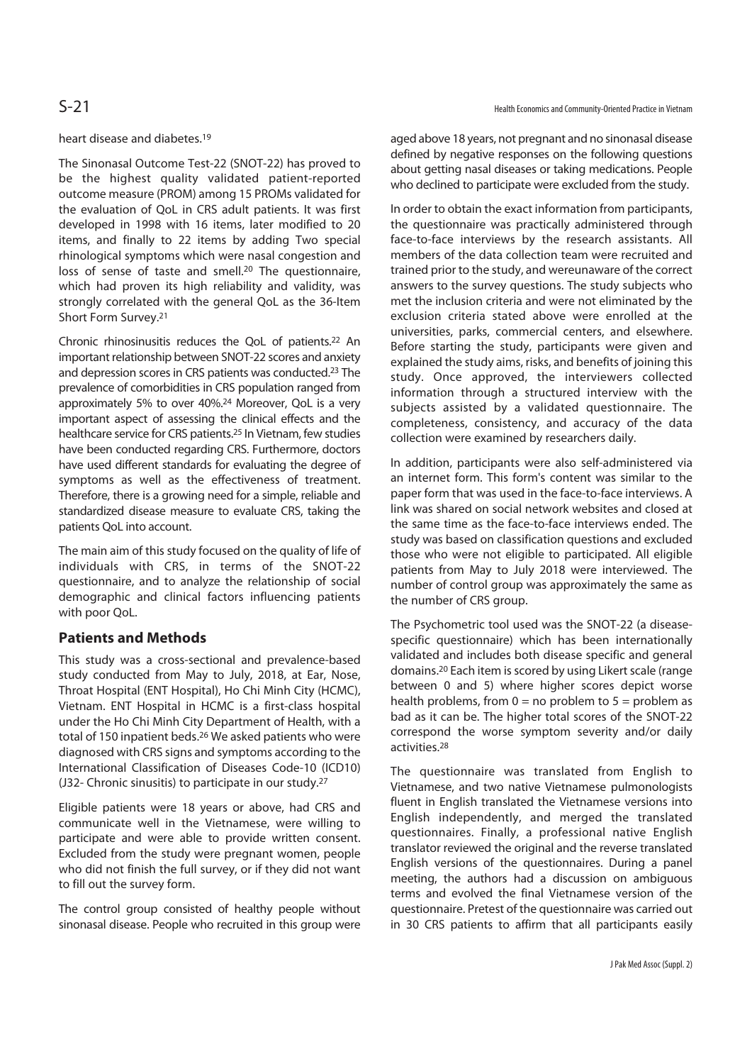#### heart disease and diabetes.19

The Sinonasal Outcome Test-22 (SNOT-22) has proved to be the highest quality validated patient-reported outcome measure (PROM) among 15 PROMs validated for the evaluation of QoL in CRS adult patients. It was first developed in 1998 with 16 items, later modified to 20 items, and finally to 22 items by adding Two special rhinological symptoms which were nasal congestion and loss of sense of taste and smell.20 The questionnaire, which had proven its high reliability and validity, was strongly correlated with the general QoL as the 36-Item Short Form Survey.21

Chronic rhinosinusitis reduces the QoL of patients.22 An important relationship between SNOT-22 scores and anxiety and depression scores in CRS patients was conducted.23 The prevalence of comorbidities in CRS population ranged from approximately 5% to over 40%.24 Moreover, QoL is a very important aspect of assessing the clinical effects and the healthcare service for CRS patients.25 In Vietnam, few studies have been conducted regarding CRS. Furthermore, doctors have used different standards for evaluating the degree of symptoms as well as the effectiveness of treatment. Therefore, there is a growing need for a simple, reliable and standardized disease measure to evaluate CRS, taking the patients QoL into account.

The main aim of this study focused on the quality of life of individuals with CRS, in terms of the SNOT-22 questionnaire, and to analyze the relationship of social demographic and clinical factors influencing patients with poor QoL.

## **Patients and Methods**

This study was a cross-sectional and prevalence-based study conducted from May to July, 2018, at Ear, Nose, Throat Hospital (ENT Hospital), Ho Chi Minh City (HCMC), Vietnam. ENT Hospital in HCMC is a first-class hospital under the Ho Chi Minh City Department of Health, with a total of 150 inpatient beds.26 We asked patients who were diagnosed with CRS signs and symptoms according to the International Classification of Diseases Code-10 (ICD10) (J32- Chronic sinusitis) to participate in our study.27

Eligible patients were 18 years or above, had CRS and communicate well in the Vietnamese, were willing to participate and were able to provide written consent. Excluded from the study were pregnant women, people who did not finish the full survey, or if they did not want to fill out the survey form.

The control group consisted of healthy people without sinonasal disease. People who recruited in this group were

aged above 18 years, not pregnant and no sinonasal disease defined by negative responses on the following questions about getting nasal diseases or taking medications. People who declined to participate were excluded from the study.

In order to obtain the exact information from participants, the questionnaire was practically administered through face-to-face interviews by the research assistants. All members of the data collection team were recruited and trained prior to the study, and wereunaware of the correct answers to the survey questions. The study subjects who met the inclusion criteria and were not eliminated by the exclusion criteria stated above were enrolled at the universities, parks, commercial centers, and elsewhere. Before starting the study, participants were given and explained the study aims, risks, and benefits of joining this study. Once approved, the interviewers collected information through a structured interview with the subjects assisted by a validated questionnaire. The completeness, consistency, and accuracy of the data collection were examined by researchers daily.

In addition, participants were also self-administered via an internet form. This form's content was similar to the paper form that was used in the face-to-face interviews. A link was shared on social network websites and closed at the same time as the face-to-face interviews ended. The study was based on classification questions and excluded those who were not eligible to participated. All eligible patients from May to July 2018 were interviewed. The number of control group was approximately the same as the number of CRS group.

The Psychometric tool used was the SNOT-22 (a diseasespecific questionnaire) which has been internationally validated and includes both disease specific and general domains.20 Each item is scored by using Likert scale (range between 0 and 5) where higher scores depict worse health problems, from  $0 =$  no problem to  $5 =$  problem as bad as it can be. The higher total scores of the SNOT-22 correspond the worse symptom severity and/or daily activities.28

The questionnaire was translated from English to Vietnamese, and two native Vietnamese pulmonologists fluent in English translated the Vietnamese versions into English independently, and merged the translated questionnaires. Finally, a professional native English translator reviewed the original and the reverse translated English versions of the questionnaires. During a panel meeting, the authors had a discussion on ambiguous terms and evolved the final Vietnamese version of the questionnaire. Pretest of the questionnaire was carried out in 30 CRS patients to affirm that all participants easily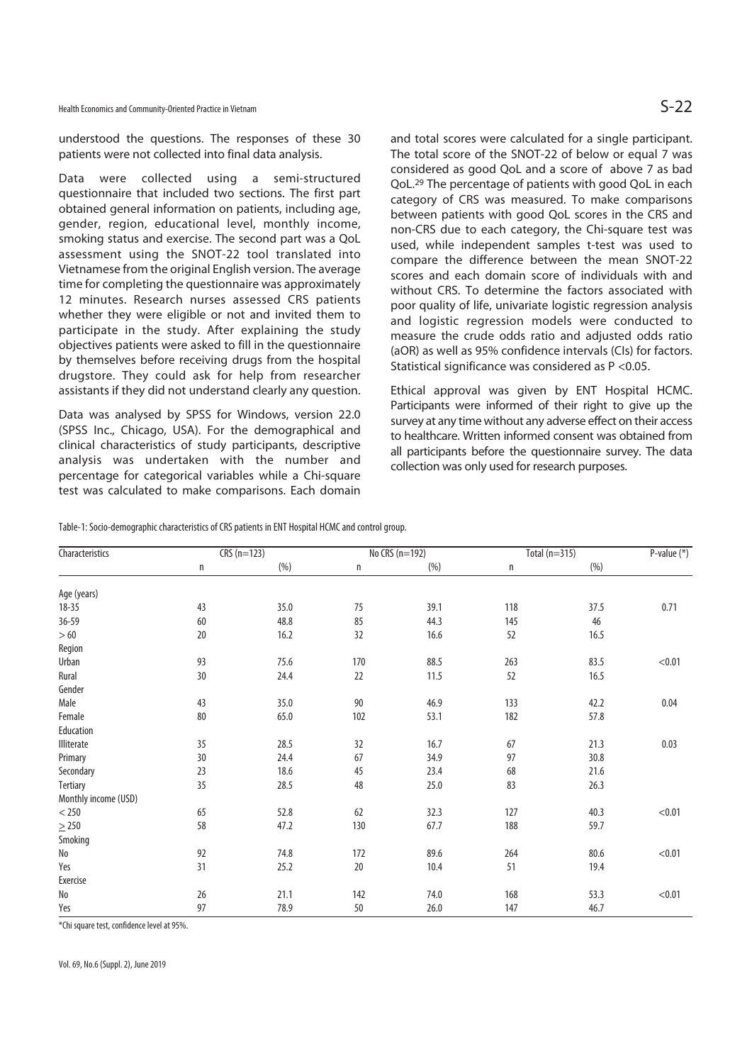Health Economics and Community-Oriented Practice in Vietnam  $S-22$ 

understood the questions. The responses of these 30 patients were not collected into final data analysis.

Data were collected using a semi-structured questionnaire that included two sections. The first part obtained general information on patients, including age, gender, region, educational level, monthly income, smoking status and exercise. The second part was a QoL assessment using the SNOT-22 tool translated into Vietnamese from the original English version. The average time for completing the questionnaire was approximately 12 minutes. Research nurses assessed CRS patients whether they were eligible or not and invited them to participate in the study. After explaining the study objectives patients were asked to fill in the questionnaire by themselves before receiving drugs from the hospital drugstore. They could ask for help from researcher assistants if they did not understand clearly any question.

Data was analysed by SPSS for Windows, version 22.0 (SPSS Inc., Chicago, USA). For the demographical and clinical characteristics of study participants, descriptive analysis was undertaken with the number and percentage for categorical variables while a Chi-square test was calculated to make comparisons. Each domain and total scores were calculated for a single participant. The total score of the SNOT-22 of below or equal 7 was considered as good QoL and a score of above 7 as bad QoL.29 The percentage of patients with good QoL in each category of CRS was measured. To make comparisons between patients with good QoL scores in the CRS and non-CRS due to each category, the Chi-square test was used, while independent samples t-test was used to compare the difference between the mean SNOT-22 scores and each domain score of individuals with and without CRS. To determine the factors associated with poor quality of life, univariate logistic regression analysis and logistic regression models were conducted to measure the crude odds ratio and adjusted odds ratio (aOR) as well as 95% confidence intervals (CIs) for factors. Statistical significance was considered as P <0.05.

Ethical approval was given by ENT Hospital HCMC. Participants were informed of their right to give up the survey at any time without any adverse effect on their access to healthcare. Written informed consent was obtained from all participants before the questionnaire survey. The data collection was only used for research purposes.

Table-1: Socio-demographic characteristics of CRS patients in ENT Hospital HCMC and control group.

| <b>Characteristics</b>       | $CRS(n=123)$ |      | No CRS (n=192) |      | Total $(n=315)$ |      | P-value $(*)$ |
|------------------------------|--------------|------|----------------|------|-----------------|------|---------------|
|                              | n            | (% ) | n              | (% ) | n               | (% ) |               |
| Age (years)                  |              |      |                |      |                 |      |               |
| $18 - 35$                    | 43           | 35.0 | 75             | 39.1 | 118             | 37.5 | 0.71          |
| 36-59                        | 60           | 48.8 | 85             | 44.3 | 145             | 46   |               |
| >60                          | 20           | 16.2 | 32             | 16.6 | 52              | 16.5 |               |
| Region                       |              |      |                |      |                 |      |               |
| Urban                        | 93           | 75.6 | 170            | 88.5 | 263             | 83.5 | < 0.01        |
| Rural                        | 30           | 24.4 | 22             | 11.5 | 52              | 16.5 |               |
| Gender                       |              |      |                |      |                 |      |               |
| Male                         | 43           | 35.0 | 90             | 46.9 | 133             | 42.2 | 0.04          |
| Female                       | 80           | 65.0 | 102            | 53.1 | 182             | 57.8 |               |
| Education                    |              |      |                |      |                 |      |               |
| Illiterate                   | 35           | 28.5 | 32             | 16.7 | 67              | 21.3 | 0.03          |
| Primary                      | 30           | 24.4 | 67             | 34.9 | 97              | 30.8 |               |
| Secondary                    | 23           | 18.6 | 45             | 23.4 | 68              | 21.6 |               |
| <b>Tertiary</b>              | 35           | 28.5 | 48             | 25.0 | 83              | 26.3 |               |
| Monthly income (USD)         |              |      |                |      |                 |      |               |
| $<$ 250                      | 65           | 52.8 | 62             | 32.3 | 127             | 40.3 | < 0.01        |
| $\geq$ 250                   | 58           | 47.2 | 130            | 67.7 | 188             | 59.7 |               |
| Smoking                      |              |      |                |      |                 |      |               |
| $\operatorname{\mathsf{No}}$ | 92           | 74.8 | 172            | 89.6 | 264             | 80.6 | < 0.01        |
| Yes                          | 31           | 25.2 | 20             | 10.4 | 51              | 19.4 |               |
| Exercise                     |              |      |                |      |                 |      |               |
| $\operatorname{\mathsf{No}}$ | 26           | 21.1 | 142            | 74.0 | 168             | 53.3 | < 0.01        |
| Yes                          | 97           | 78.9 | 50             | 26.0 | 147             | 46.7 |               |

\*Chi square test, confidence level at 95%.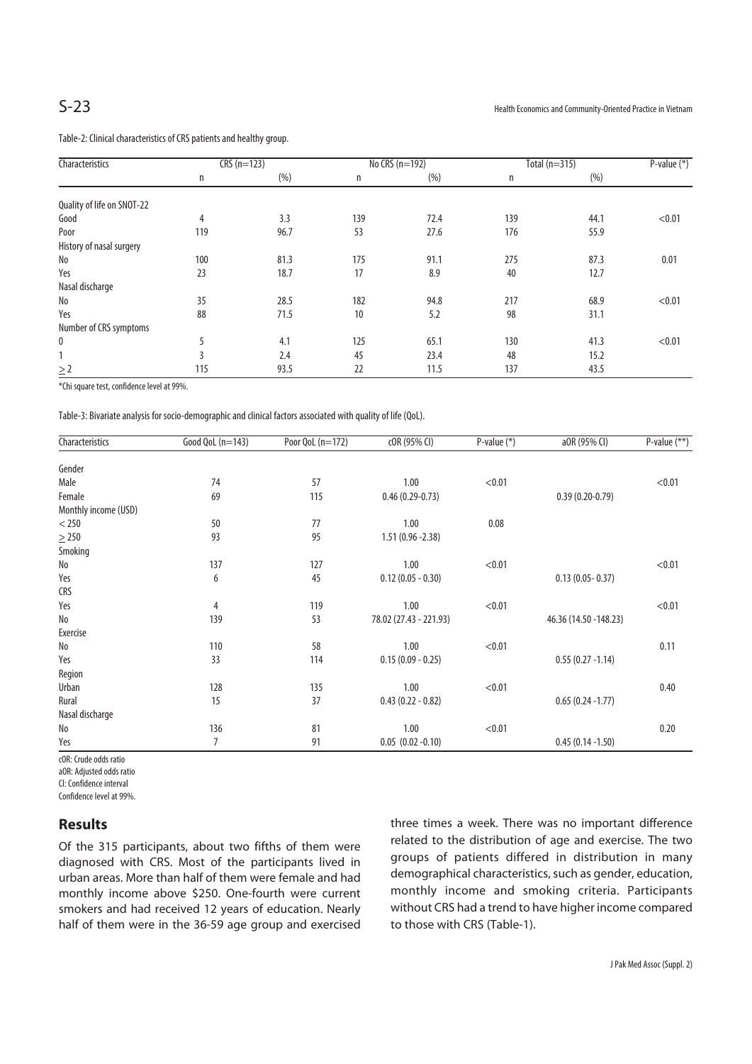Table-2: Clinical characteristics of CRS patients and healthy group.

| Characteristics            | $CRS(n=123)$ |      | No CRS (n=192) |      | Total $(n=315)$ |      | P-value $(*)$ |
|----------------------------|--------------|------|----------------|------|-----------------|------|---------------|
|                            | n            | (% ) | n              | (% ) | n               | (% ) |               |
| Quality of life on SNOT-22 |              |      |                |      |                 |      |               |
| Good                       | 4            | 3.3  | 139            | 72.4 | 139             | 44.1 | < 0.01        |
| Poor                       | 119          | 96.7 | 53             | 27.6 | 176             | 55.9 |               |
| History of nasal surgery   |              |      |                |      |                 |      |               |
| No                         | 100          | 81.3 | 175            | 91.1 | 275             | 87.3 | 0.01          |
| Yes                        | 23           | 18.7 | 17             | 8.9  | 40              | 12.7 |               |
| Nasal discharge            |              |      |                |      |                 |      |               |
| No                         | 35           | 28.5 | 182            | 94.8 | 217             | 68.9 | < 0.01        |
| Yes                        | 88           | 71.5 | 10             | 5.2  | 98              | 31.1 |               |
| Number of CRS symptoms     |              |      |                |      |                 |      |               |
| 0                          | 5            | 4.1  | 125            | 65.1 | 130             | 41.3 | < 0.01        |
|                            | 3            | 2.4  | 45             | 23.4 | 48              | 15.2 |               |
| $\geq$ 2                   | 115          | 93.5 | 22             | 11.5 | 137             | 43.5 |               |

\*Chi square test, confidence level at 99%.

Table-3: Bivariate analysis for socio-demographic and clinical factors associated with quality of life (QoL).

| Characteristics      | Good QoL (n=143) | Poor QoL (n=172) | cOR (95% CI)           | P-value $(*)$ | a0R (95% CI)           | P-value $(**)$ |
|----------------------|------------------|------------------|------------------------|---------------|------------------------|----------------|
| Gender               |                  |                  |                        |               |                        |                |
| Male                 | 74               | 57               | 1.00                   | < 0.01        |                        | < 0.01         |
| Female               | 69               | 115              | $0.46(0.29-0.73)$      |               | $0.39(0.20-0.79)$      |                |
| Monthly income (USD) |                  |                  |                        |               |                        |                |
| $<$ 250              | 50               | 77               | 1.00                   | 0.08          |                        |                |
| $\geq$ 250           | 93               | 95               | $1.51(0.96 - 2.38)$    |               |                        |                |
| Smoking              |                  |                  |                        |               |                        |                |
| No                   | 137              | 127              | 1.00                   | < 0.01        |                        | < 0.01         |
| Yes                  | 6                | 45               | $0.12(0.05 - 0.30)$    |               | $0.13(0.05 - 0.37)$    |                |
| <b>CRS</b>           |                  |                  |                        |               |                        |                |
| Yes                  | 4                | 119              | 1.00                   | < 0.01        |                        | < 0.01         |
| No                   | 139              | 53               | 78.02 (27.43 - 221.93) |               | 46.36 (14.50 - 148.23) |                |
| Exercise             |                  |                  |                        |               |                        |                |
| No                   | 110              | 58               | 1.00                   | < 0.01        |                        | 0.11           |
| Yes                  | 33               | 114              | $0.15(0.09 - 0.25)$    |               | $0.55(0.27 - 1.14)$    |                |
| Region               |                  |                  |                        |               |                        |                |
| Urban                | 128              | 135              | 1.00                   | < 0.01        |                        | 0.40           |
| Rural                | 15               | 37               | $0.43(0.22 - 0.82)$    |               | $0.65(0.24 - 1.77)$    |                |
| Nasal discharge      |                  |                  |                        |               |                        |                |
| No                   | 136              | 81               | 1.00                   | < 0.01        |                        | 0.20           |
| Yes                  | 7                | 91               | $0.05$ $(0.02 -0.10)$  |               | $0.45(0.14 - 1.50)$    |                |

cOR: Crude odds ratio

aOR: Adjusted odds ratio

CI: Confidence interval

Confidence level at 99%.

#### **Results**

Of the 315 participants, about two fifths of them were diagnosed with CRS. Most of the participants lived in urban areas. More than half of them were female and had monthly income above \$250. One-fourth were current smokers and had received 12 years of education. Nearly half of them were in the 36-59 age group and exercised

three times a week. There was no important difference related to the distribution of age and exercise. The two groups of patients differed in distribution in many demographical characteristics, such as gender, education, monthly income and smoking criteria. Participants without CRS had a trend to have higher income compared to those with CRS (Table-1).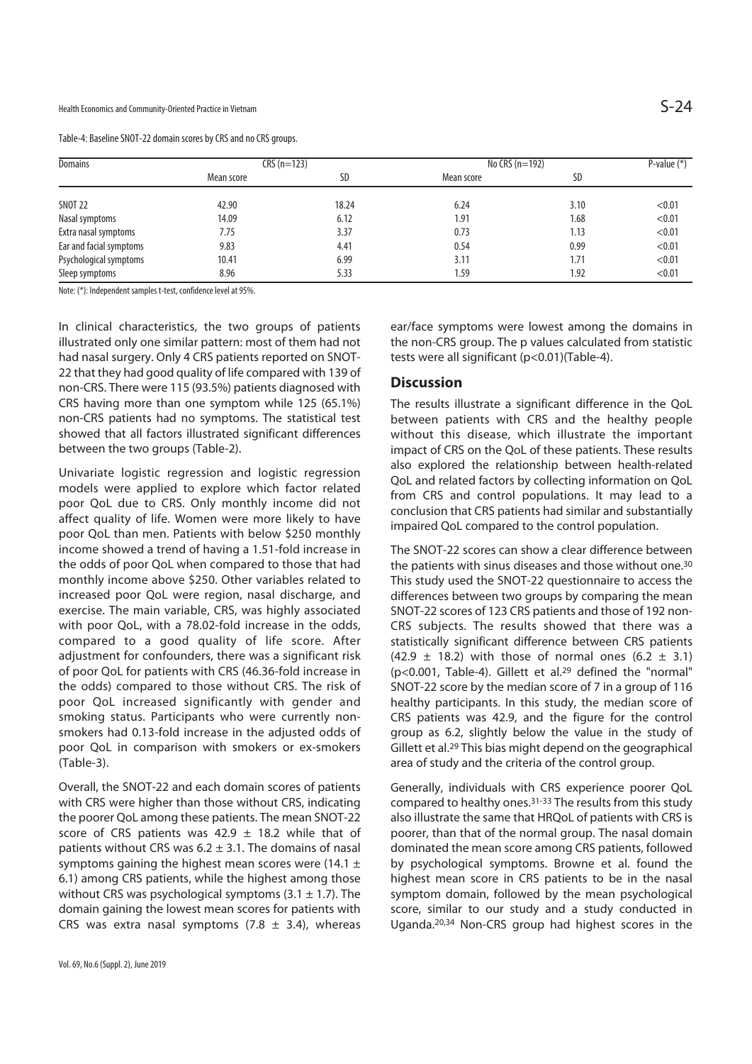| Table-4: Baseline SNOT-22 domain scores by CRS and no CRS groups. |  |  |
|-------------------------------------------------------------------|--|--|
|                                                                   |  |  |

| <b>Domains</b>          | $CRS(n=123)$ |       | No CRS $(n=192)$ |      | P-value $(*)$ |
|-------------------------|--------------|-------|------------------|------|---------------|
|                         | Mean score   | SD    | Mean score       | SD   |               |
| <b>SNOT 22</b>          | 42.90        | 18.24 | 6.24             | 3.10 | < 0.01        |
| Nasal symptoms          | 14.09        | 6.12  | 1.91             | 1.68 | < 0.01        |
| Extra nasal symptoms    | 7.75         | 3.37  | 0.73             | 1.13 | < 0.01        |
| Ear and facial symptoms | 9.83         | 4.41  | 0.54             | 0.99 | < 0.01        |
| Psychological symptoms  | 10.41        | 6.99  | 3.11             | 1.71 | < 0.01        |
| Sleep symptoms          | 8.96         | 5.33  | 1.59             | 1.92 | < 0.01        |

Note: (\*): Independent samples t-test, confidence level at 95%.

In clinical characteristics, the two groups of patients illustrated only one similar pattern: most of them had not had nasal surgery. Only 4 CRS patients reported on SNOT-22 that they had good quality of life compared with 139 of non-CRS. There were 115 (93.5%) patients diagnosed with CRS having more than one symptom while 125 (65.1%) non-CRS patients had no symptoms. The statistical test showed that all factors illustrated significant differences between the two groups (Table-2).

Univariate logistic regression and logistic regression models were applied to explore which factor related poor QoL due to CRS. Only monthly income did not affect quality of life. Women were more likely to have poor QoL than men. Patients with below \$250 monthly income showed a trend of having a 1.51-fold increase in the odds of poor QoL when compared to those that had monthly income above \$250. Other variables related to increased poor QoL were region, nasal discharge, and exercise. The main variable, CRS, was highly associated with poor QoL, with a 78.02-fold increase in the odds, compared to a good quality of life score. After adjustment for confounders, there was a significant risk of poor QoL for patients with CRS (46.36-fold increase in the odds) compared to those without CRS. The risk of poor QoL increased significantly with gender and smoking status. Participants who were currently nonsmokers had 0.13-fold increase in the adjusted odds of poor QoL in comparison with smokers or ex-smokers (Table-3).

Overall, the SNOT-22 and each domain scores of patients with CRS were higher than those without CRS, indicating the poorer QoL among these patients. The mean SNOT-22 score of CRS patients was 42.9  $\pm$  18.2 while that of patients without CRS was  $6.2 \pm 3.1$ . The domains of nasal symptoms gaining the highest mean scores were (14.1  $\pm$ 6.1) among CRS patients, while the highest among those without CRS was psychological symptoms  $(3.1 \pm 1.7)$ . The domain gaining the lowest mean scores for patients with CRS was extra nasal symptoms  $(7.8 \pm 3.4)$ , whereas ear/face symptoms were lowest among the domains in the non-CRS group. The p values calculated from statistic tests were all significant (p<0.01)(Table-4).

#### **Discussion**

The results illustrate a significant difference in the QoL between patients with CRS and the healthy people without this disease, which illustrate the important impact of CRS on the QoL of these patients. These results also explored the relationship between health-related QoL and related factors by collecting information on QoL from CRS and control populations. It may lead to a conclusion that CRS patients had similar and substantially impaired QoL compared to the control population.

The SNOT-22 scores can show a clear difference between the patients with sinus diseases and those without one.<sup>30</sup> This study used the SNOT-22 questionnaire to access the differences between two groups by comparing the mean SNOT-22 scores of 123 CRS patients and those of 192 non-CRS subjects. The results showed that there was a statistically significant difference between CRS patients (42.9  $\pm$  18.2) with those of normal ones (6.2  $\pm$  3.1) (p<0.001, Table-4). Gillett et al.29 defined the "normal" SNOT-22 score by the median score of 7 in a group of 116 healthy participants. In this study, the median score of CRS patients was 42.9, and the figure for the control group as 6.2, slightly below the value in the study of Gillett et al.29 This bias might depend on the geographical area of study and the criteria of the control group.

Generally, individuals with CRS experience poorer QoL compared to healthy ones.31-33 The results from this study also illustrate the same that HRQoL of patients with CRS is poorer, than that of the normal group. The nasal domain dominated the mean score among CRS patients, followed by psychological symptoms. Browne et al. found the highest mean score in CRS patients to be in the nasal symptom domain, followed by the mean psychological score, similar to our study and a study conducted in Uganda.20,34 Non-CRS group had highest scores in the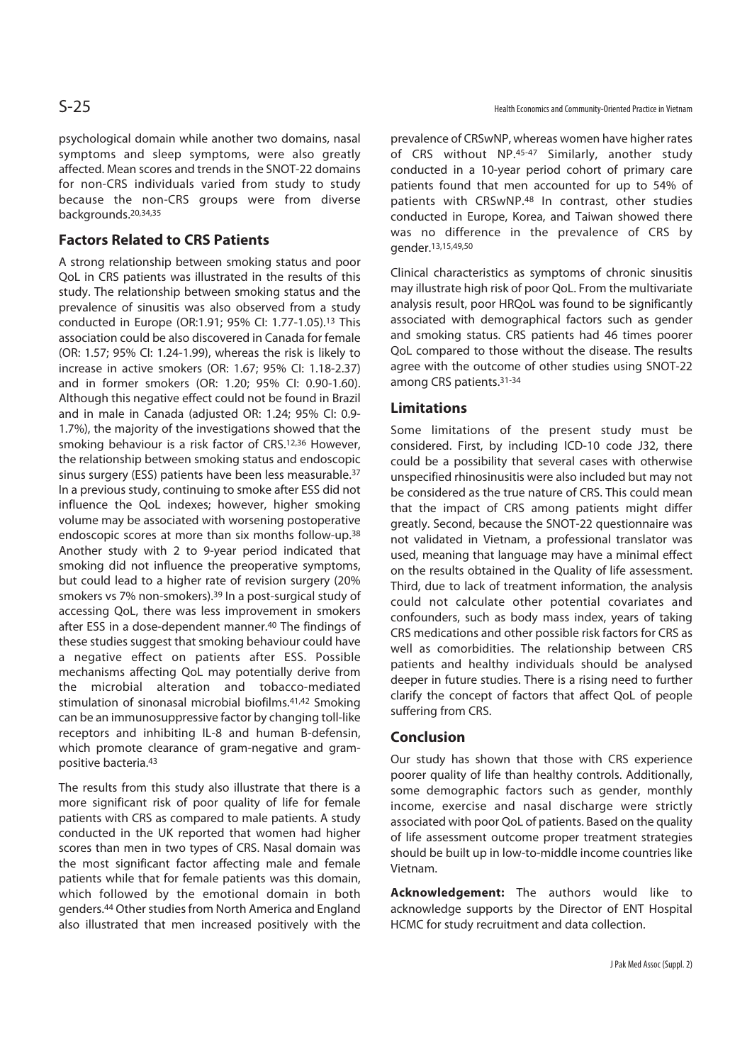psychological domain while another two domains, nasal symptoms and sleep symptoms, were also greatly affected. Mean scores and trends in the SNOT-22 domains for non-CRS individuals varied from study to study because the non-CRS groups were from diverse backgrounds.20,34,35

### **Factors Related to CRS Patients**

A strong relationship between smoking status and poor QoL in CRS patients was illustrated in the results of this study. The relationship between smoking status and the prevalence of sinusitis was also observed from a study conducted in Europe (OR:1.91; 95% CI: 1.77-1.05).13 This association could be also discovered in Canada for female (OR: 1.57; 95% CI: 1.24-1.99), whereas the risk is likely to increase in active smokers (OR: 1.67; 95% CI: 1.18-2.37) and in former smokers (OR: 1.20; 95% CI: 0.90-1.60). Although this negative effect could not be found in Brazil and in male in Canada (adjusted OR: 1.24; 95% CI: 0.9- 1.7%), the majority of the investigations showed that the smoking behaviour is a risk factor of CRS.12,36 However, the relationship between smoking status and endoscopic sinus surgery (ESS) patients have been less measurable.37 In a previous study, continuing to smoke after ESS did not influence the QoL indexes; however, higher smoking volume may be associated with worsening postoperative endoscopic scores at more than six months follow-up.38 Another study with 2 to 9-year period indicated that smoking did not influence the preoperative symptoms, but could lead to a higher rate of revision surgery (20% smokers vs 7% non-smokers).39 In a post-surgical study of accessing QoL, there was less improvement in smokers after ESS in a dose-dependent manner.40 The findings of these studies suggest that smoking behaviour could have a negative effect on patients after ESS. Possible mechanisms affecting QoL may potentially derive from the microbial alteration and tobacco-mediated stimulation of sinonasal microbial biofilms.41,42 Smoking can be an immunosuppressive factor by changing toll-like receptors and inhibiting IL-8 and human B-defensin, which promote clearance of gram-negative and grampositive bacteria.43

The results from this study also illustrate that there is a more significant risk of poor quality of life for female patients with CRS as compared to male patients. A study conducted in the UK reported that women had higher scores than men in two types of CRS. Nasal domain was the most significant factor affecting male and female patients while that for female patients was this domain, which followed by the emotional domain in both genders.44 Other studies from North America and England also illustrated that men increased positively with the prevalence of CRSwNP, whereas women have higher rates of CRS without NP.45-47 Similarly, another study conducted in a 10-year period cohort of primary care patients found that men accounted for up to 54% of patients with CRSwNP.48 In contrast, other studies conducted in Europe, Korea, and Taiwan showed there was no difference in the prevalence of CRS by gender.13,15,49,50

Clinical characteristics as symptoms of chronic sinusitis may illustrate high risk of poor QoL. From the multivariate analysis result, poor HRQoL was found to be significantly associated with demographical factors such as gender and smoking status. CRS patients had 46 times poorer QoL compared to those without the disease. The results agree with the outcome of other studies using SNOT-22 among CRS patients.31-34

### **Limitations**

Some limitations of the present study must be considered. First, by including ICD-10 code J32, there could be a possibility that several cases with otherwise unspecified rhinosinusitis were also included but may not be considered as the true nature of CRS. This could mean that the impact of CRS among patients might differ greatly. Second, because the SNOT-22 questionnaire was not validated in Vietnam, a professional translator was used, meaning that language may have a minimal effect on the results obtained in the Quality of life assessment. Third, due to lack of treatment information, the analysis could not calculate other potential covariates and confounders, such as body mass index, years of taking CRS medications and other possible risk factors for CRS as well as comorbidities. The relationship between CRS patients and healthy individuals should be analysed deeper in future studies. There is a rising need to further clarify the concept of factors that affect QoL of people suffering from CRS.

#### **Conclusion**

Our study has shown that those with CRS experience poorer quality of life than healthy controls. Additionally, some demographic factors such as gender, monthly income, exercise and nasal discharge were strictly associated with poor QoL of patients. Based on the quality of life assessment outcome proper treatment strategies should be built up in low-to-middle income countries like Vietnam.

**Acknowledgement:** The authors would like to acknowledge supports by the Director of ENT Hospital HCMC for study recruitment and data collection.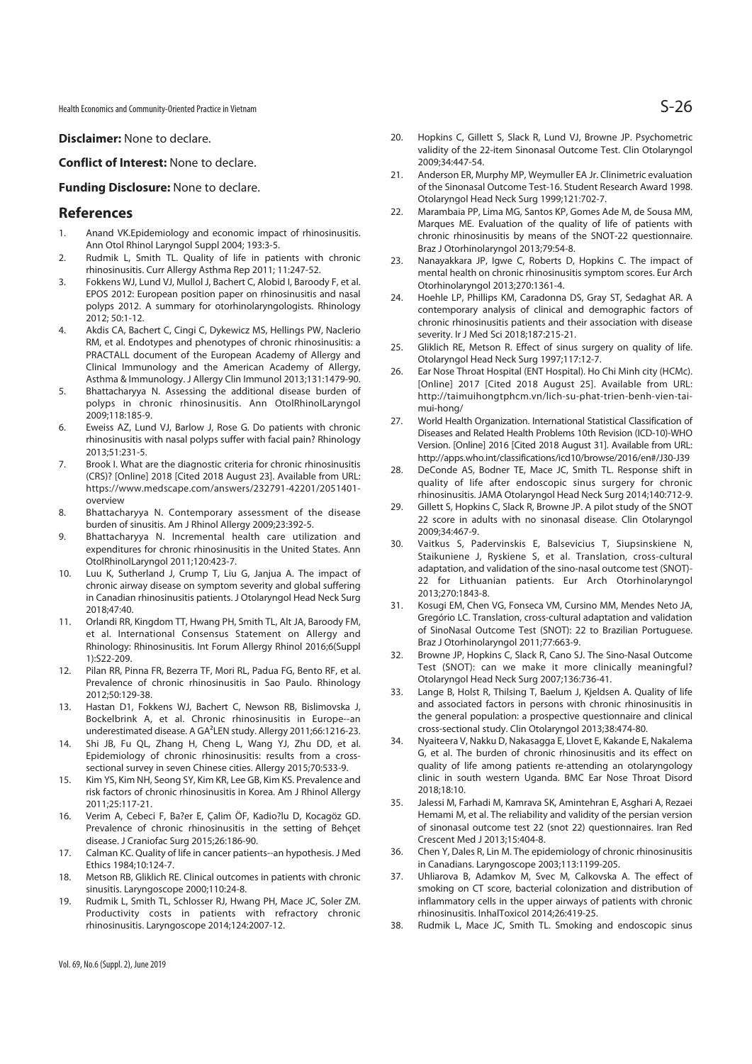Health Economics and Community-Oriented Practice in Vietnam  $\mathsf{S}\text{-}26$ 

**Disclaimer:** None to declare.

#### **Conflict of Interest:** None to declare.

#### **Funding Disclosure:** None to declare.

#### **References**

- 1. Anand VK.Epidemiology and economic impact of rhinosinusitis. Ann Otol Rhinol Laryngol Suppl 2004; 193:3-5.
- 2. Rudmik L, Smith TL. Quality of life in patients with chronic rhinosinusitis. Curr Allergy Asthma Rep 2011; 11:247-52.
- 3. Fokkens WJ, Lund VJ, Mullol J, Bachert C, Alobid I, Baroody F, et al. EPOS 2012: European position paper on rhinosinusitis and nasal polyps 2012. A summary for otorhinolaryngologists. Rhinology 2012; 50:1-12.
- 4. Akdis CA, Bachert C, Cingi C, Dykewicz MS, Hellings PW, Naclerio RM, et al. Endotypes and phenotypes of chronic rhinosinusitis: a PRACTALL document of the European Academy of Allergy and Clinical Immunology and the American Academy of Allergy, Asthma & Immunology. J Allergy Clin Immunol 2013;131:1479-90.
- 5. Bhattacharyya N. Assessing the additional disease burden of polyps in chronic rhinosinusitis. Ann OtolRhinolLaryngol 2009;118:185-9.
- 6. Eweiss AZ, Lund VJ, Barlow J, Rose G. Do patients with chronic rhinosinusitis with nasal polyps suffer with facial pain? Rhinology 2013;51:231-5.
- 7. Brook I. What are the diagnostic criteria for chronic rhinosinusitis (CRS)? [Online] 2018 [Cited 2018 August 23]. Available from URL: https://www.medscape.com/answers/232791-42201/2051401 overview
- 8. Bhattacharyya N. Contemporary assessment of the disease burden of sinusitis. Am J Rhinol Allergy 2009;23:392-5.
- 9. Bhattacharyya N. Incremental health care utilization and expenditures for chronic rhinosinusitis in the United States. Ann OtolRhinolLaryngol 2011;120:423-7.
- 10. Luu K, Sutherland J, Crump T, Liu G, Janjua A. The impact of chronic airway disease on symptom severity and global suffering in Canadian rhinosinusitis patients. J Otolaryngol Head Neck Surg 2018;47:40.
- 11. Orlandi RR, Kingdom TT, Hwang PH, Smith TL, Alt JA, Baroody FM, et al. International Consensus Statement on Allergy and Rhinology: Rhinosinusitis. Int Forum Allergy Rhinol 2016;6(Suppl 1):S22-209.
- 12. Pilan RR, Pinna FR, Bezerra TF, Mori RL, Padua FG, Bento RF, et al. Prevalence of chronic rhinosinusitis in Sao Paulo. Rhinology 2012;50:129-38.
- 13. Hastan D1, Fokkens WJ, Bachert C, Newson RB, Bislimovska J, Bockelbrink A, et al. Chronic rhinosinusitis in Europe--an underestimated disease. A GA²LEN study. Allergy 2011;66:1216-23.
- 14. Shi JB, Fu QL, Zhang H, Cheng L, Wang YJ, Zhu DD, et al. Epidemiology of chronic rhinosinusitis: results from a crosssectional survey in seven Chinese cities. Allergy 2015;70:533-9.
- 15. Kim YS, Kim NH, Seong SY, Kim KR, Lee GB, Kim KS. Prevalence and risk factors of chronic rhinosinusitis in Korea. Am J Rhinol Allergy 2011;25:117-21.
- 16. Verim A, Cebeci F, Ba?er E, Çalim ÖF, Kadio?lu D, Kocagöz GD. Prevalence of chronic rhinosinusitis in the setting of Behçet disease. J Craniofac Surg 2015;26:186-90.
- 17. Calman KC. Quality of life in cancer patients--an hypothesis. J Med Ethics 1984;10:124-7.
- 18. Metson RB, Gliklich RE. Clinical outcomes in patients with chronic sinusitis. Laryngoscope 2000;110:24-8.
- 19. Rudmik L, Smith TL, Schlosser RJ, Hwang PH, Mace JC, Soler ZM. Productivity costs in patients with refractory chronic rhinosinusitis. Laryngoscope 2014;124:2007-12.
- 20. Hopkins C, Gillett S, Slack R, Lund VJ, Browne JP. Psychometric validity of the 22-item Sinonasal Outcome Test. Clin Otolaryngol 2009;34:447-54.
- 21. Anderson ER, Murphy MP, Weymuller EA Jr. Clinimetric evaluation of the Sinonasal Outcome Test-16. Student Research Award 1998. Otolaryngol Head Neck Surg 1999;121:702-7.
- 22. Marambaia PP, Lima MG, Santos KP, Gomes Ade M, de Sousa MM, Marques ME. Evaluation of the quality of life of patients with chronic rhinosinusitis by means of the SNOT-22 questionnaire. Braz J Otorhinolaryngol 2013;79:54-8.
- 23. Nanayakkara JP, Igwe C, Roberts D, Hopkins C. The impact of mental health on chronic rhinosinusitis symptom scores. Eur Arch Otorhinolaryngol 2013;270:1361-4.
- 24. Hoehle LP, Phillips KM, Caradonna DS, Gray ST, Sedaghat AR. A contemporary analysis of clinical and demographic factors of chronic rhinosinusitis patients and their association with disease severity. Ir J Med Sci 2018;187:215-21.
- 25. Gliklich RE, Metson R. Effect of sinus surgery on quality of life. Otolaryngol Head Neck Surg 1997;117:12-7.
- 26. Ear Nose Throat Hospital (ENT Hospital). Ho Chi Minh city (HCMc). [Online] 2017 [Cited 2018 August 25]. Available from URL: http://taimuihongtphcm.vn/lich-su-phat-trien-benh-vien-taimui-hong/
- 27. World Health Organization. International Statistical Classification of Diseases and Related Health Problems 10th Revision (ICD-10)-WHO Version. [Online] 2016 [Cited 2018 August 31]. Available from URL: http://apps.who.int/classifications/icd10/browse/2016/en#/J30-J39
- 28. DeConde AS, Bodner TE, Mace JC, Smith TL. Response shift in quality of life after endoscopic sinus surgery for chronic rhinosinusitis. JAMA Otolaryngol Head Neck Surg 2014;140:712-9.
- 29. Gillett S, Hopkins C, Slack R, Browne JP. A pilot study of the SNOT 22 score in adults with no sinonasal disease. Clin Otolaryngol 2009;34:467-9.
- 30. Vaitkus S, Padervinskis E, Balsevicius T, Siupsinskiene N, Staikuniene J, Ryskiene S, et al. Translation, cross-cultural adaptation, and validation of the sino-nasal outcome test (SNOT)- 22 for Lithuanian patients. Eur Arch Otorhinolaryngol 2013;270:1843-8.
- 31. Kosugi EM, Chen VG, Fonseca VM, Cursino MM, Mendes Neto JA, Gregório LC. Translation, cross-cultural adaptation and validation of SinoNasal Outcome Test (SNOT): 22 to Brazilian Portuguese. Braz J Otorhinolaryngol 2011;77:663-9.
- 32. Browne JP, Hopkins C, Slack R, Cano SJ. The Sino-Nasal Outcome Test (SNOT): can we make it more clinically meaningful? Otolaryngol Head Neck Surg 2007;136:736-41.
- 33. Lange B, Holst R, Thilsing T, Baelum J, Kjeldsen A. Quality of life and associated factors in persons with chronic rhinosinusitis in the general population: a prospective questionnaire and clinical cross-sectional study. Clin Otolaryngol 2013;38:474-80.
- 34. Nyaiteera V, Nakku D, Nakasagga E, Llovet E, Kakande E, Nakalema G, et al. The burden of chronic rhinosinusitis and its effect on quality of life among patients re-attending an otolaryngology clinic in south western Uganda. BMC Ear Nose Throat Disord 2018;18:10.
- 35. Jalessi M, Farhadi M, Kamrava SK, Amintehran E, Asghari A, Rezaei Hemami M, et al. The reliability and validity of the persian version of sinonasal outcome test 22 (snot 22) questionnaires. Iran Red Crescent Med J 2013;15:404-8.
- 36. Chen Y, Dales R, Lin M. The epidemiology of chronic rhinosinusitis in Canadians. Laryngoscope 2003;113:1199-205.
- 37. Uhliarova B, Adamkov M, Svec M, Calkovska A. The effect of smoking on CT score, bacterial colonization and distribution of inflammatory cells in the upper airways of patients with chronic rhinosinusitis. InhalToxicol 2014;26:419-25.
- 38. Rudmik L, Mace JC, Smith TL. Smoking and endoscopic sinus